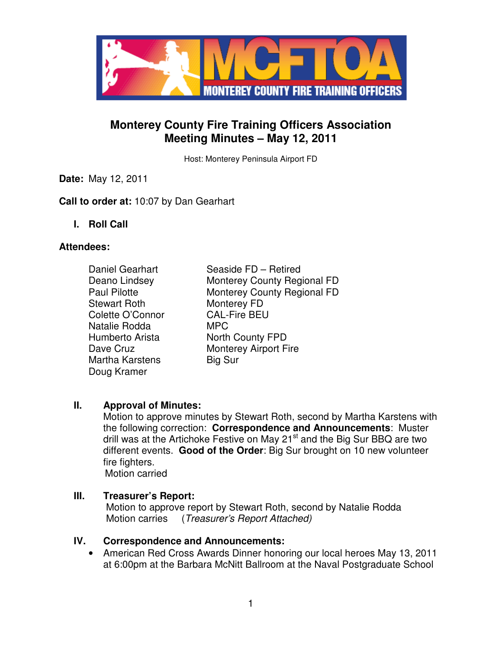

# **Monterey County Fire Training Officers Association Meeting Minutes – May 12, 2011**

Host: Monterey Peninsula Airport FD

**Date:** May 12, 2011

**Call to order at:** 10:07 by Dan Gearhart

**I. Roll Call** 

### **Attendees:**

Stewart Roth Monterey FD Colette O'Connor CAL-Fire BEU Natalie Rodda MPC Martha Karstens Big Sur Doug Kramer

Daniel Gearhart Seaside FD – Retired Deano Lindsey Monterey County Regional FD Paul Pilotte **Monterey County Regional FD** Humberto Arista **North County FPD** Dave Cruz Monterey Airport Fire

## **II. Approval of Minutes:**

Motion to approve minutes by Stewart Roth, second by Martha Karstens with the following correction: **Correspondence and Announcements**: Muster drill was at the Artichoke Festive on May 21<sup>st</sup> and the Big Sur BBQ are two different events. **Good of the Order**: Big Sur brought on 10 new volunteer fire fighters.

Motion carried

## **III. Treasurer's Report:**

 Motion to approve report by Stewart Roth, second by Natalie Rodda Motion carries (Treasurer's Report Attached)

### **IV. Correspondence and Announcements:**

• American Red Cross Awards Dinner honoring our local heroes May 13, 2011 at 6:00pm at the Barbara McNitt Ballroom at the Naval Postgraduate School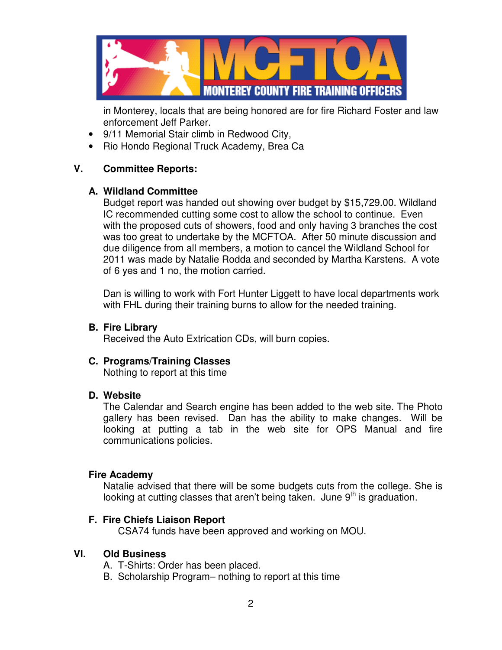

in Monterey, locals that are being honored are for fire Richard Foster and law enforcement Jeff Parker.

- 9/11 Memorial Stair climb in Redwood City,
- Rio Hondo Regional Truck Academy, Brea Ca

## **V. Committee Reports:**

### **A. Wildland Committee**

Budget report was handed out showing over budget by \$15,729.00. Wildland IC recommended cutting some cost to allow the school to continue. Even with the proposed cuts of showers, food and only having 3 branches the cost was too great to undertake by the MCFTOA. After 50 minute discussion and due diligence from all members, a motion to cancel the Wildland School for 2011 was made by Natalie Rodda and seconded by Martha Karstens. A vote of 6 yes and 1 no, the motion carried.

Dan is willing to work with Fort Hunter Liggett to have local departments work with FHL during their training burns to allow for the needed training.

### **B. Fire Library**

Received the Auto Extrication CDs, will burn copies.

### **C. Programs/Training Classes**

Nothing to report at this time

### **D. Website**

The Calendar and Search engine has been added to the web site. The Photo gallery has been revised. Dan has the ability to make changes. Will be looking at putting a tab in the web site for OPS Manual and fire communications policies.

#### **Fire Academy**

Natalie advised that there will be some budgets cuts from the college. She is looking at cutting classes that aren't being taken. June  $9<sup>th</sup>$  is graduation.

### **F. Fire Chiefs Liaison Report**

CSA74 funds have been approved and working on MOU.

### **VI. Old Business**

- A. T-Shirts: Order has been placed.
- B. Scholarship Program– nothing to report at this time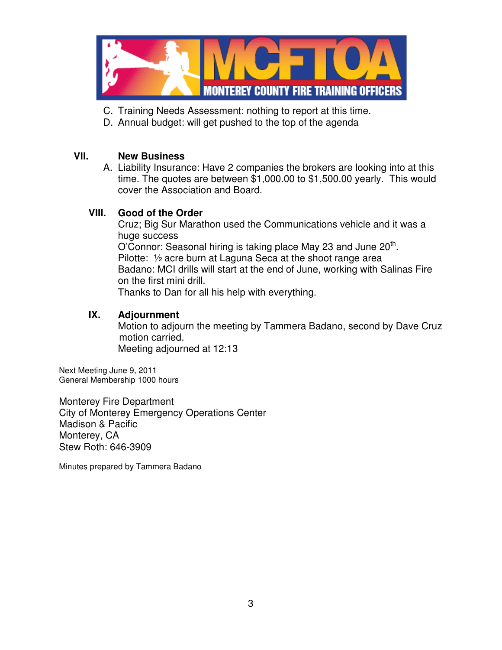

- C. Training Needs Assessment: nothing to report at this time.
- D. Annual budget: will get pushed to the top of the agenda

## **VII. New Business**

A. Liability Insurance: Have 2 companies the brokers are looking into at this time. The quotes are between \$1,000.00 to \$1,500.00 yearly. This would cover the Association and Board.

## **VIII. Good of the Order**

Cruz; Big Sur Marathon used the Communications vehicle and it was a huge success O'Connor: Seasonal hiring is taking place May 23 and June 20<sup>th</sup>. Pilotte: ½ acre burn at Laguna Seca at the shoot range area Badano: MCI drills will start at the end of June, working with Salinas Fire on the first mini drill. Thanks to Dan for all his help with everything.

### **IX. Adjournment**

 Motion to adjourn the meeting by Tammera Badano, second by Dave Cruz motion carried. Meeting adjourned at 12:13

Next Meeting June 9, 2011 General Membership 1000 hours

Monterey Fire Department City of Monterey Emergency Operations Center Madison & Pacific Monterey, CA Stew Roth: 646-3909

Minutes prepared by Tammera Badano